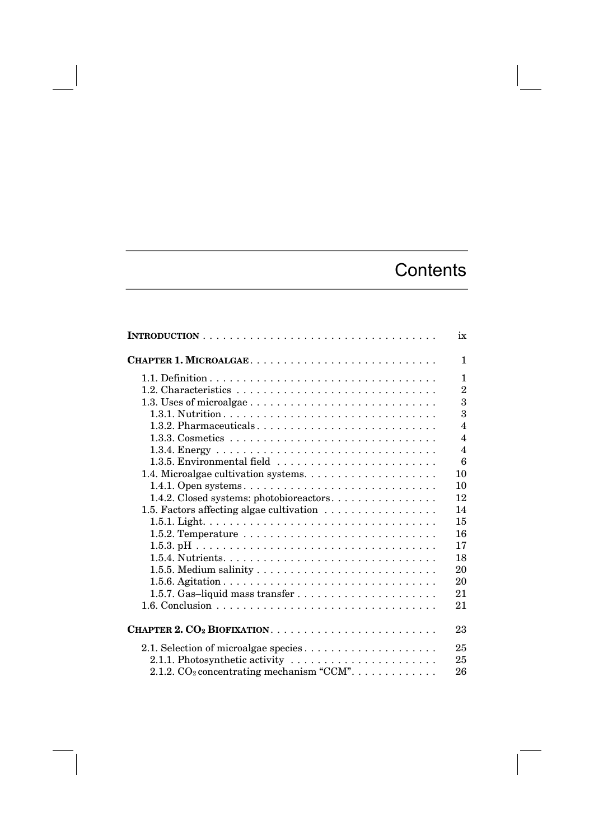## **Contents**

|                                                                                         | ix             |
|-----------------------------------------------------------------------------------------|----------------|
| CHAPTER 1. MICROALGAE                                                                   | $\mathbf{1}$   |
|                                                                                         | $\mathbf{1}$   |
|                                                                                         | $\overline{2}$ |
|                                                                                         | 3              |
|                                                                                         | 3              |
| 1.3.2. Pharmaceuticals                                                                  | $\overline{4}$ |
|                                                                                         | $\overline{4}$ |
|                                                                                         | $\overline{4}$ |
| 1.3.5. Environmental field                                                              | 6              |
|                                                                                         | 10             |
|                                                                                         | 10             |
| 1.4.2. Closed systems: photobioreactors                                                 | 12             |
| 1.5. Factors affecting algae cultivation $\ldots \ldots \ldots \ldots \ldots$           | 14             |
|                                                                                         | 15             |
|                                                                                         | 16             |
|                                                                                         | 17             |
|                                                                                         | 18             |
| 1.5.5. Medium salinity $\ldots \ldots \ldots \ldots \ldots \ldots \ldots \ldots \ldots$ | 20             |
|                                                                                         | 20             |
| $1.5.7.$ Gas-liquid mass transfer $\dots \dots \dots \dots \dots \dots \dots$           | 21             |
|                                                                                         | 21             |
|                                                                                         |                |
|                                                                                         | 23             |
| 2.1. Selection of microalgae species                                                    | 25             |
| 2.1.1. Photosynthetic activity                                                          | 25             |
| 2.1.2. $CO_2$ concentrating mechanism "CCM".                                            | 26             |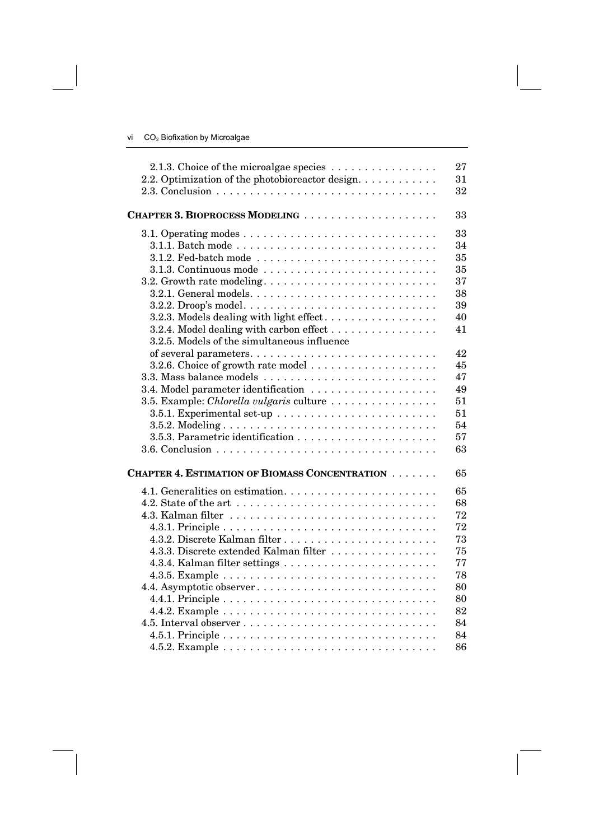| 2.1.3. Choice of the microalgae species                                      | 27 |
|------------------------------------------------------------------------------|----|
| 2.2. Optimization of the photobioreactor design.                             | 31 |
|                                                                              | 32 |
|                                                                              |    |
|                                                                              | 33 |
|                                                                              | 33 |
|                                                                              | 34 |
|                                                                              | 35 |
|                                                                              | 35 |
|                                                                              | 37 |
|                                                                              | 38 |
|                                                                              | 39 |
| 3.2.3. Models dealing with light effect                                      | 40 |
| 3.2.4. Model dealing with carbon effect                                      | 41 |
| 3.2.5. Models of the simultaneous influence                                  |    |
|                                                                              | 42 |
|                                                                              | 45 |
|                                                                              | 47 |
| 3.4. Model parameter identification                                          | 49 |
|                                                                              | 51 |
| 3.5. Example: Chlorella vulgaris culture                                     |    |
| 3.5.1. Experimental set-up $\dots \dots \dots \dots \dots \dots \dots \dots$ | 51 |
|                                                                              | 54 |
|                                                                              | 57 |
|                                                                              | 63 |
| <b>CHAPTER 4. ESTIMATION OF BIOMASS CONCENTRATION</b>                        | 65 |
|                                                                              |    |
| 4.1. Generalities on estimation                                              | 65 |
|                                                                              | 68 |
|                                                                              | 72 |
|                                                                              | 72 |
|                                                                              | 73 |
| 4.3.3. Discrete extended Kalman filter                                       | 75 |
|                                                                              | 77 |
|                                                                              | 78 |
|                                                                              | 80 |
|                                                                              | 80 |
|                                                                              | 82 |
|                                                                              | 84 |
|                                                                              | 84 |
|                                                                              | 86 |
|                                                                              |    |